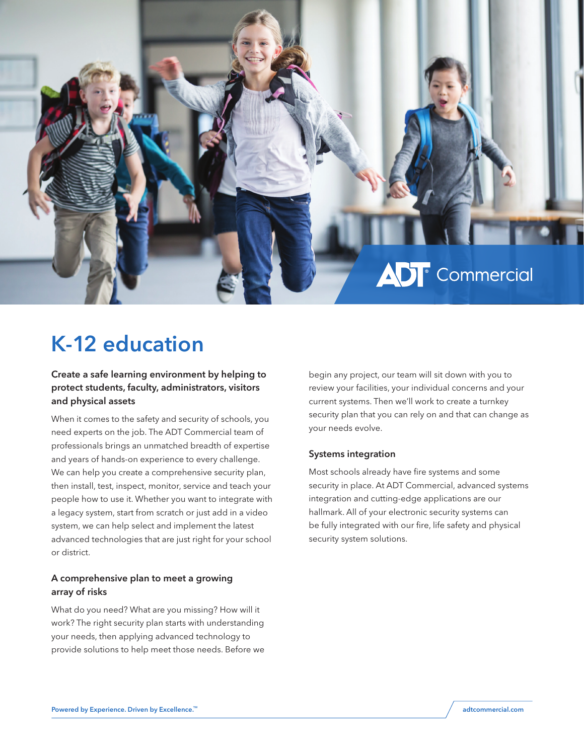

# K-12 education

Create a safe learning environment by helping to protect students, faculty, administrators, visitors and physical assets

When it comes to the safety and security of schools, you need experts on the job. The ADT Commercial team of professionals brings an unmatched breadth of expertise and years of hands-on experience to every challenge. We can help you create a comprehensive security plan, then install, test, inspect, monitor, service and teach your people how to use it. Whether you want to integrate with a legacy system, start from scratch or just add in a video system, we can help select and implement the latest advanced technologies that are just right for your school or district.

#### A comprehensive plan to meet a growing array of risks

What do you need? What are you missing? How will it work? The right security plan starts with understanding your needs, then applying advanced technology to provide solutions to help meet those needs. Before we

begin any project, our team will sit down with you to review your facilities, your individual concerns and your current systems. Then we'll work to create a turnkey security plan that you can rely on and that can change as your needs evolve.

#### Systems integration

Most schools already have fire systems and some security in place. At ADT Commercial, advanced systems integration and cutting-edge applications are our hallmark. All of your electronic security systems can be fully integrated with our fire, life safety and physical security system solutions.